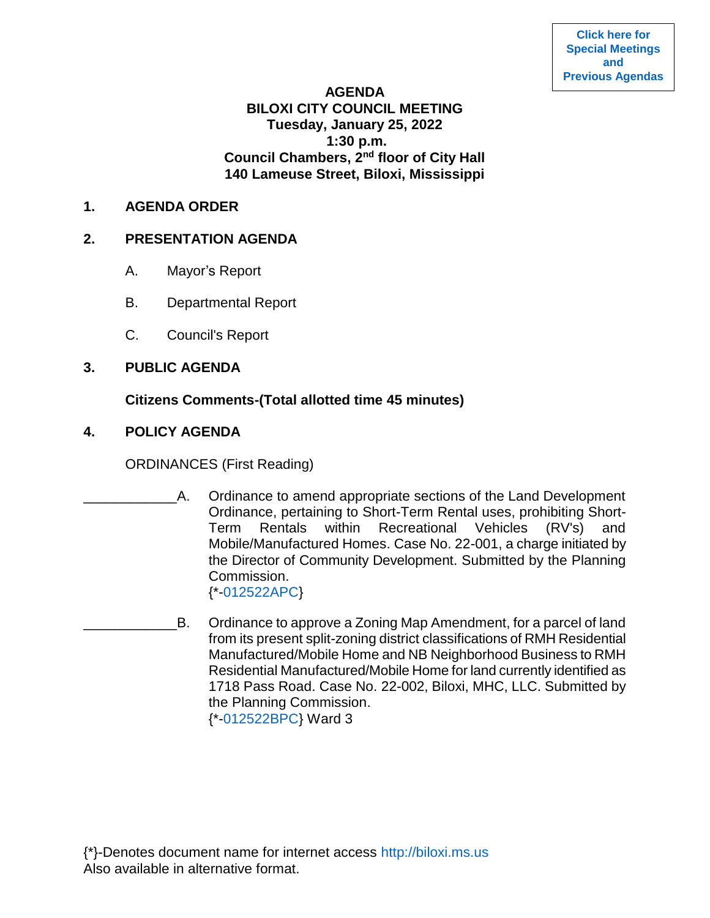**[Click here for](https://www.biloxi.ms.us/category/agendas-city-council/) [Special Meetings](https://www.biloxi.ms.us/category/agendas-city-council/) [and](https://www.biloxi.ms.us/category/agendas-city-council/) [Previous Agendas](https://www.biloxi.ms.us/category/agendas-city-council/)**

#### **AGENDA**

# **BILOXI CITY COUNCIL MEETING Tuesday, January 25, 2022 1:30 p.m. Council Chambers, 2nd floor of City Hall 140 Lameuse Street, Biloxi, Mississippi**

#### **1. AGENDA ORDER**

#### **2. PRESENTATION AGENDA**

- A. Mayor's Report
- B. Departmental Report
- C. Council's Report

## **3. PUBLIC AGENDA**

## **Citizens Comments-(Total allotted time 45 minutes)**

## **4. POLICY AGENDA**

ORDINANCES (First Reading)

- A. Ordinance to amend appropriate sections of the Land Development Ordinance, pertaining to Short-Term Rental uses, prohibiting Short-Term Rentals within Recreational Vehicles (RV's) and Mobile/Manufactured Homes. Case No. 22-001, a charge initiated by the Director of Community Development. Submitted by the Planning Commission. {\*[-012522APC}](https://www.biloxi.ms.us/agendas/citycouncil/2022/012522/012522apc.pdf)
	- B. Ordinance to approve a Zoning Map Amendment, for a parcel of land from its present split-zoning district classifications of RMH Residential Manufactured/Mobile Home and NB Neighborhood Business to RMH Residential Manufactured/Mobile Home for land currently identified as 1718 Pass Road. Case No. 22-002, Biloxi, MHC, LLC. Submitted by the Planning Commission. {\*[-012522BPC}](https://www.biloxi.ms.us/agendas/citycouncil/2022/012522/012522bpc.pdf) Ward 3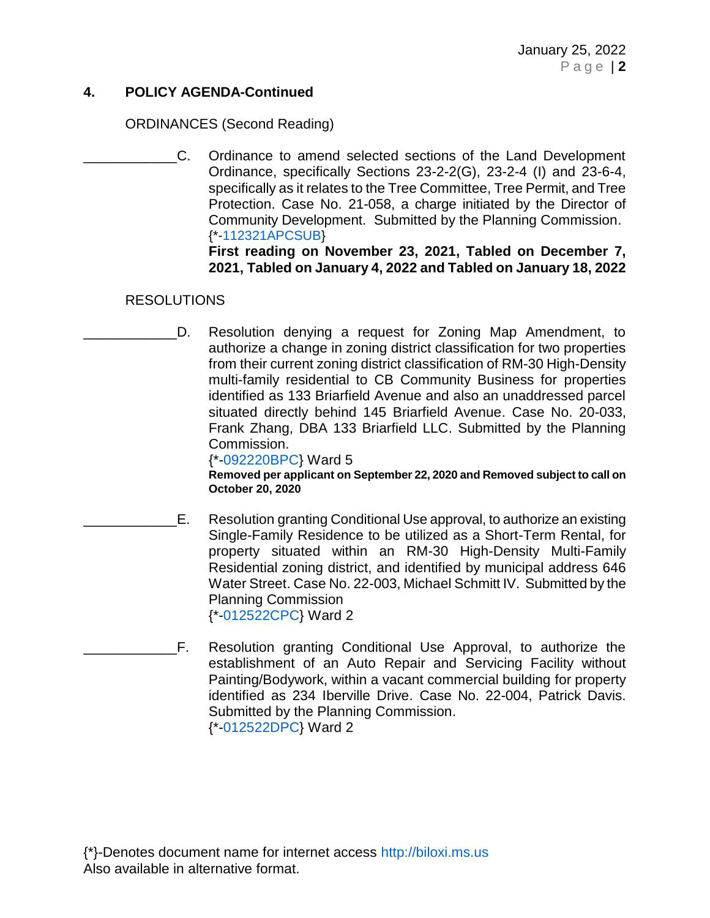## **4. POLICY AGENDA-Continued**

ORDINANCES (Second Reading)

\_\_\_\_\_\_\_\_\_\_\_\_C. Ordinance to amend selected sections of the Land Development Ordinance, specifically Sections 23-2-2(G), 23-2-4 (I) and 23-6-4, specifically as it relates to the Tree Committee, Tree Permit, and Tree Protection. Case No. 21-058, a charge initiated by the Director of Community Development. Submitted by the Planning Commission. {\*[-112321APCSUB}](https://www.biloxi.ms.us/agendas/citycouncil/2022/012522/112321apcsub.pdf) **First reading on November 23, 2021, Tabled on December 7,** 

**2021, Tabled on January 4, 2022 and Tabled on January 18, 2022**

#### RESOLUTIONS

D. Resolution denying a request for Zoning Map Amendment, to authorize a change in zoning district classification for two properties from their current zoning district classification of RM-30 High-Density multi-family residential to CB Community Business for properties identified as 133 Briarfield Avenue and also an unaddressed parcel situated directly behind 145 Briarfield Avenue. Case No. 20-033, Frank Zhang, DBA 133 Briarfield LLC. Submitted by the Planning Commission.

{\*[-092220BPC}](https://www.biloxi.ms.us/agendas/citycouncil/2022/012522/092220bpc.pdf) Ward 5

**Removed per applicant on September 22, 2020 and Removed subject to call on October 20, 2020**

- E. Resolution granting Conditional Use approval, to authorize an existing Single-Family Residence to be utilized as a Short-Term Rental, for property situated within an RM-30 High-Density Multi-Family Residential zoning district, and identified by municipal address 646 Water Street. Case No. 22-003, Michael Schmitt IV. Submitted by the Planning Commission {\*[-012522CPC}](https://www.biloxi.ms.us/agendas/citycouncil/2022/012522/012522cpc.pdf) Ward 2
- \_\_\_\_\_\_\_\_\_\_\_\_F. Resolution granting Conditional Use Approval, to authorize the establishment of an Auto Repair and Servicing Facility without Painting/Bodywork, within a vacant commercial building for property identified as 234 Iberville Drive. Case No. 22-004, Patrick Davis. Submitted by the Planning Commission. {\*[-012522DPC}](https://www.biloxi.ms.us/agendas/citycouncil/2022/012522/012522dpc.pdf) Ward 2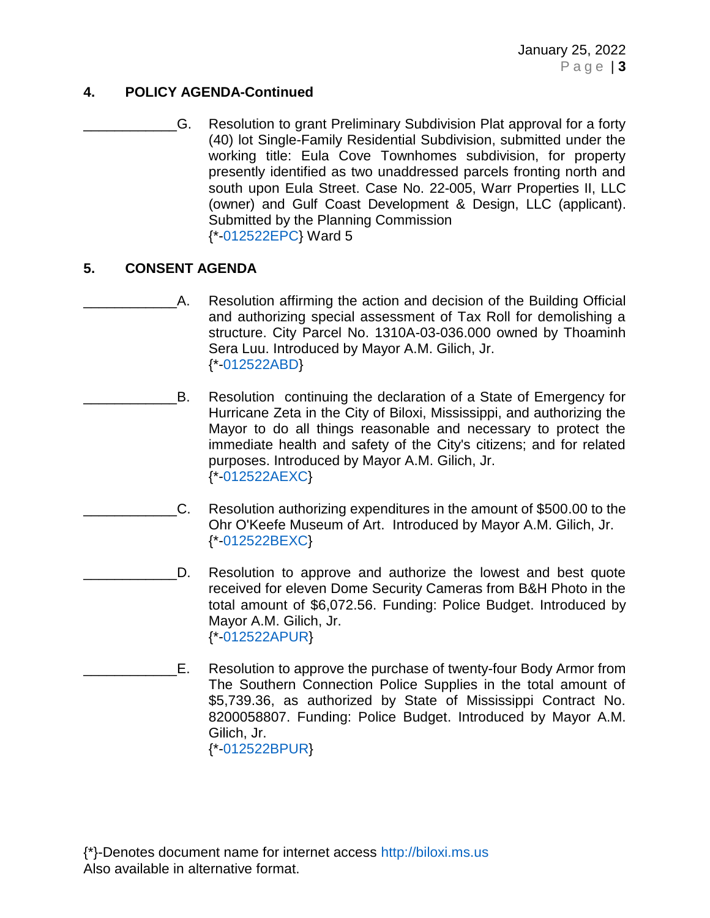## **4. POLICY AGENDA-Continued**

\_\_\_\_\_\_\_\_\_\_\_\_G. Resolution to grant Preliminary Subdivision Plat approval for a forty (40) lot Single-Family Residential Subdivision, submitted under the working title: Eula Cove Townhomes subdivision, for property presently identified as two unaddressed parcels fronting north and south upon Eula Street. Case No. 22-005, Warr Properties II, LLC (owner) and Gulf Coast Development & Design, LLC (applicant). Submitted by the Planning Commission {\*[-012522EPC}](https://www.biloxi.ms.us/agendas/citycouncil/2022/012522/012522epc.pdf) Ward 5

# **5. CONSENT AGENDA**

- A. Resolution affirming the action and decision of the Building Official and authorizing special assessment of Tax Roll for demolishing a structure. City Parcel No. 1310A-03-036.000 owned by Thoaminh Sera Luu. Introduced by Mayor A.M. Gilich, Jr. {\*[-012522ABD}](https://www.biloxi.ms.us/agendas/citycouncil/2022/012522/012522abd.pdf)
- B. Resolution continuing the declaration of a State of Emergency for Hurricane Zeta in the City of Biloxi, Mississippi, and authorizing the Mayor to do all things reasonable and necessary to protect the immediate health and safety of the City's citizens; and for related purposes. Introduced by Mayor A.M. Gilich, Jr. {\*[-012522AEXC}](https://www.biloxi.ms.us/agendas/citycouncil/2022/012522/012522aexc.pdf)
	- \_\_\_\_\_\_\_\_\_\_\_\_C. Resolution authorizing expenditures in the amount of \$500.00 to the Ohr O'Keefe Museum of Art. Introduced by Mayor A.M. Gilich, Jr. {\*[-012522BEXC}](https://www.biloxi.ms.us/agendas/citycouncil/2022/012522/012522bexc.pdf)
- D. Resolution to approve and authorize the lowest and best quote received for eleven Dome Security Cameras from B&H Photo in the total amount of \$6,072.56. Funding: Police Budget. Introduced by Mayor A.M. Gilich, Jr. {\*[-012522APUR}](https://www.biloxi.ms.us/agendas/citycouncil/2022/012522/012522apur.pdf)
- \_\_\_\_\_\_\_\_\_\_\_\_E. Resolution to approve the purchase of twenty-four Body Armor from The Southern Connection Police Supplies in the total amount of \$5,739.36, as authorized by State of Mississippi Contract No. 8200058807. Funding: Police Budget. Introduced by Mayor A.M. Gilich, Jr. {\*[-012522BPUR}](https://www.biloxi.ms.us/agendas/citycouncil/2022/012522/012522bpur.pdf)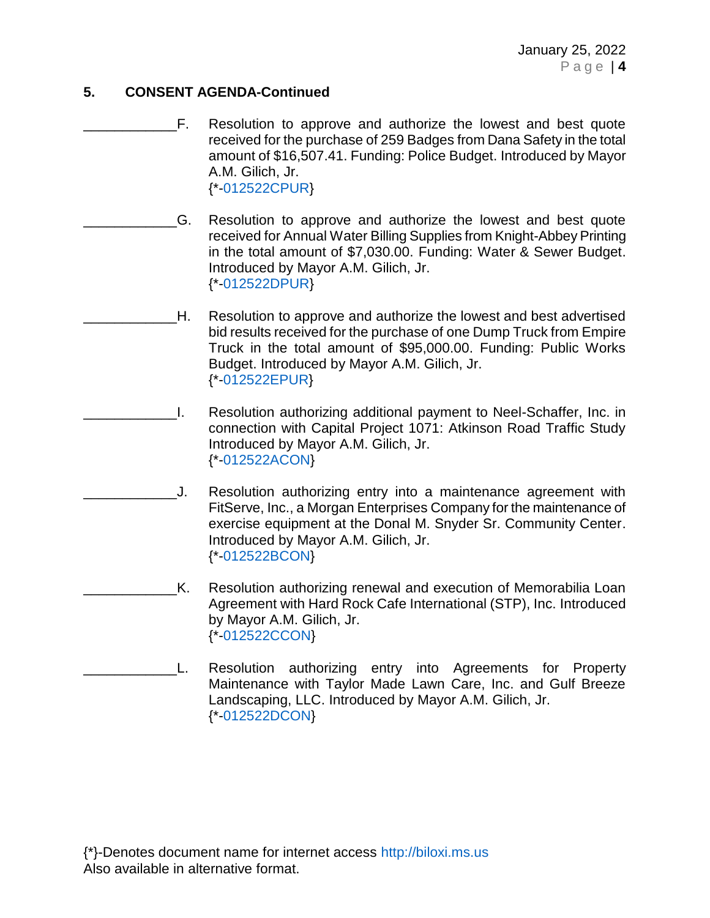## **5. CONSENT AGENDA-Continued**

- F. Resolution to approve and authorize the lowest and best quote received for the purchase of 259 Badges from Dana Safety in the total amount of \$16,507.41. Funding: Police Budget. Introduced by Mayor A.M. Gilich, Jr. {\*[-012522CPUR}](https://www.biloxi.ms.us/agendas/citycouncil/2022/012522/012522cpur.pdf)
- \_\_\_\_\_\_\_\_\_\_\_\_G. Resolution to approve and authorize the lowest and best quote received for Annual Water Billing Supplies from Knight-Abbey Printing in the total amount of \$7,030.00. Funding: Water & Sewer Budget. Introduced by Mayor A.M. Gilich, Jr. {\*[-012522DPUR}](https://www.biloxi.ms.us/agendas/citycouncil/2022/012522/012522dpur.pdf)
	- H. Resolution to approve and authorize the lowest and best advertised bid results received for the purchase of one Dump Truck from Empire Truck in the total amount of \$95,000.00. Funding: Public Works Budget. Introduced by Mayor A.M. Gilich, Jr. {\*[-012522EPUR}](https://www.biloxi.ms.us/agendas/citycouncil/2022/012522/012522epur.pdf)
- \_\_\_\_\_\_\_\_\_\_\_\_I. Resolution authorizing additional payment to Neel-Schaffer, Inc. in connection with Capital Project 1071: Atkinson Road Traffic Study Introduced by Mayor A.M. Gilich, Jr. {\*[-012522ACON}](https://www.biloxi.ms.us/agendas/citycouncil/2022/012522/012522acon.pdf)
	- J. Resolution authorizing entry into a maintenance agreement with FitServe, Inc., a Morgan Enterprises Company for the maintenance of exercise equipment at the Donal M. Snyder Sr. Community Center. Introduced by Mayor A.M. Gilich, Jr. {\*[-012522BCON}](https://www.biloxi.ms.us/agendas/citycouncil/2022/012522/012522bcon.pdf)
	- K. Resolution authorizing renewal and execution of Memorabilia Loan Agreement with Hard Rock Cafe International (STP), Inc. Introduced by Mayor A.M. Gilich, Jr. {\*[-012522CCON}](https://www.biloxi.ms.us/agendas/citycouncil/2022/012522/012522ccon.pdf)
- \_\_\_\_\_\_\_\_\_\_\_\_L. Resolution authorizing entry into Agreements for Property Maintenance with Taylor Made Lawn Care, Inc. and Gulf Breeze Landscaping, LLC. Introduced by Mayor A.M. Gilich, Jr. {\*[-012522DCON}](https://www.biloxi.ms.us/agendas/citycouncil/2022/012522/012522dcon.pdf)